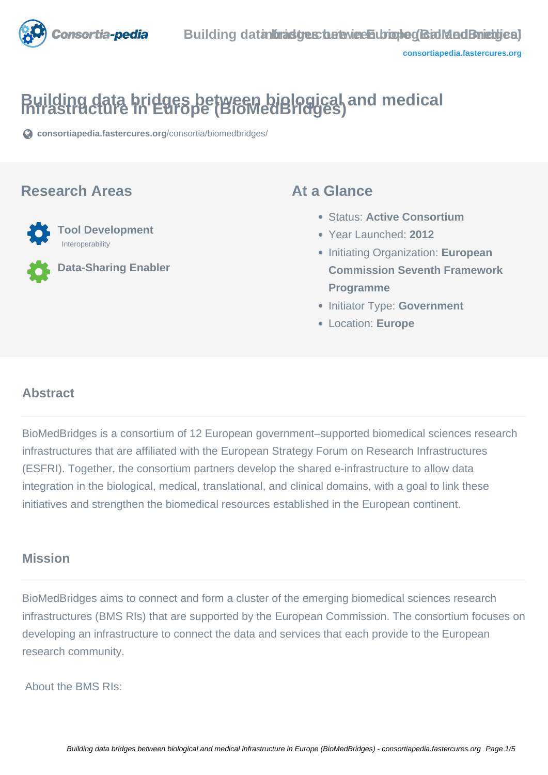

# **Building data bridges between biological and medical infrastructure in Europe (BioMedBridges)**

**[consortiapedia.fastercures.org](https://consortiapedia.fastercures.org/consortia/biomedbridges/)**[/consortia/biomedbridges/](https://consortiapedia.fastercures.org/consortia/biomedbridges/)

#### **Research Areas**



**Data-Sharing Enabler**

#### **At a Glance**

- Status: **Active Consortium**
- Year Launched: **2012**
- **Initiating Organization: European Commission Seventh Framework Programme**
- **Initiator Type: Government**
- Location: **Europe**

#### $\overline{a}$ **Abstract**

BioMedBridges is a consortium of 12 European government–supported biomedical sciences research infrastructures that are affiliated with the European Strategy Forum on Research Infrastructures (ESFRI). Together, the consortium partners develop the shared e-infrastructure to allow data integration in the biological, medical, translational, and clinical domains, with a goal to link these initiatives and strengthen the biomedical resources established in the European continent.

# **Mission**

BioMedBridges aims to connect and form a cluster of the emerging biomedical sciences research infrastructures (BMS RIs) that are supported by the European Commission. The consortium focuses on developing an infrastructure to connect the data and services that each provide to the European research community.

About the BMS RIs: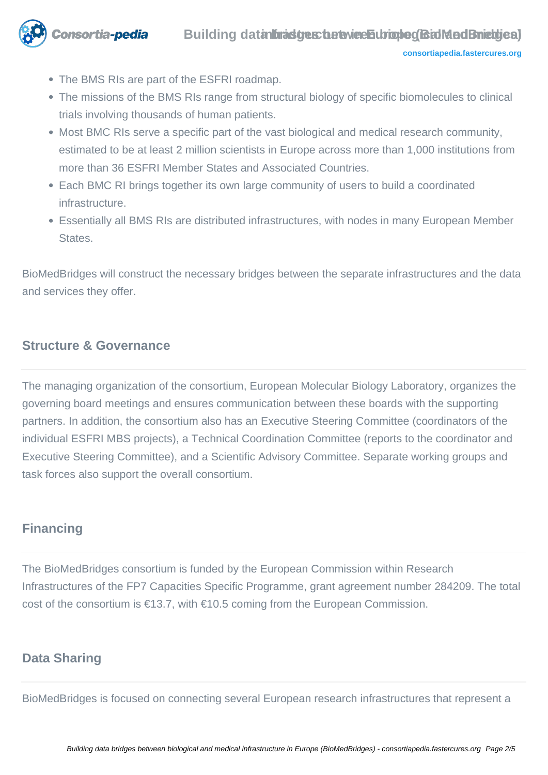

- The BMS RIs are part of the ESFRI roadmap.
- The missions of the BMS RIs range from structural biology of specific biomolecules to clinical trials involving thousands of human patients.
- Most BMC RIs serve a specific part of the vast biological and medical research community, estimated to be at least 2 million scientists in Europe across more than 1,000 institutions from more than 36 ESFRI Member States and Associated Countries.
- Each BMC RI brings together its own large community of users to build a coordinated infrastructure.
- Essentially all BMS RIs are distributed infrastructures, with nodes in many European Member States.

BioMedBridges will construct the necessary bridges between the separate infrastructures and the data and services they offer.

## **Structure & Governance**

The managing organization of the consortium, European Molecular Biology Laboratory, organizes the governing board meetings and ensures communication between these boards with the supporting partners. In addition, the consortium also has an Executive Steering Committee (coordinators of the individual ESFRI MBS projects), a Technical Coordination Committee (reports to the coordinator and Executive Steering Committee), and a Scientific Advisory Committee. Separate working groups and task forces also support the overall consortium.

## **Financing**

The BioMedBridges consortium is funded by the European Commission within Research Infrastructures of the FP7 Capacities Specific Programme, grant agreement number 284209. The total cost of the consortium is €13.7, with €10.5 coming from the European Commission.

## **Data Sharing**

BioMedBridges is focused on connecting several European research infrastructures that represent a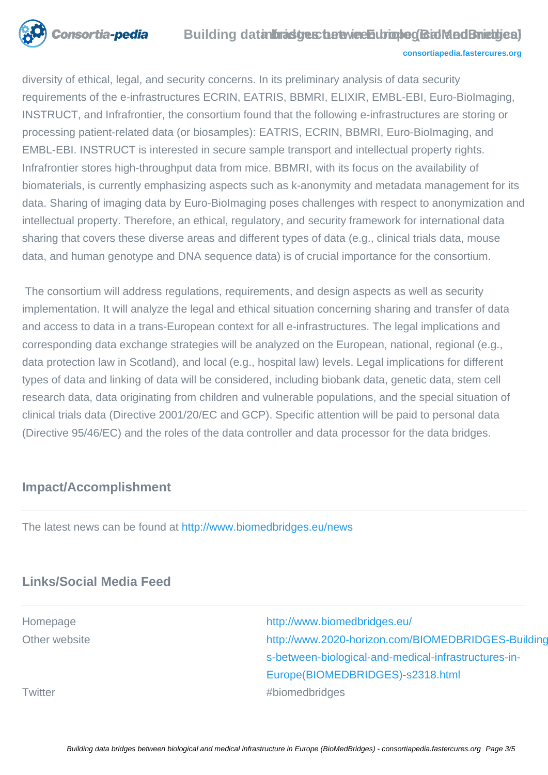

#### **Building data bracture the twice Europe (Biol MedBriet gies) [consortiapedia.fastercures.org](http://consortiapedia.fastercures.org/)**

diversity of ethical, legal, and security concerns. In its preliminary analysis of data security requirements of the e-infrastructures ECRIN, EATRIS, BBMRI, ELIXIR, EMBL-EBI, Euro-BioImaging, INSTRUCT, and Infrafrontier, the consortium found that the following e-infrastructures are storing or processing patient-related data (or biosamples): EATRIS, ECRIN, BBMRI, Euro-BioImaging, and EMBL-EBI. INSTRUCT is interested in secure sample transport and intellectual property rights. Infrafrontier stores high-throughput data from mice. BBMRI, with its focus on the availability of biomaterials, is currently emphasizing aspects such as k-anonymity and metadata management for its data. Sharing of imaging data by Euro-BioImaging poses challenges with respect to anonymization and intellectual property. Therefore, an ethical, regulatory, and security framework for international data sharing that covers these diverse areas and different types of data (e.g., clinical trials data, mouse data, and human genotype and DNA sequence data) is of crucial importance for the consortium.

 The consortium will address regulations, requirements, and design aspects as well as security implementation. It will analyze the legal and ethical situation concerning sharing and transfer of data and access to data in a trans-European context for all e-infrastructures. The legal implications and corresponding data exchange strategies will be analyzed on the European, national, regional (e.g., data protection law in Scotland), and local (e.g., hospital law) levels. Legal implications for different types of data and linking of data will be considered, including biobank data, genetic data, stem cell research data, data originating from children and vulnerable populations, and the special situation of clinical trials data (Directive 2001/20/EC and GCP). Specific attention will be paid to personal data (Directive 95/46/EC) and the roles of the data controller and data processor for the data bridges.

# **Impact/Accomplishment**

The latest news can be found at<http://www.biomedbridges.eu/news>

# **Links/Social Media Feed**

Homepage <http://www.biomedbridges.eu/> Other website http://www.2020-horizon.com/BIOMEDBRIDGES-Building[s-between-biological-and-medical-infrastructures-in-](http://www.2020-horizon.com/BIOMEDBRIDGES-Building-data-bridges-between-biological-and-medical-infrastructures-in-Europe(BIOMEDBRIDGES)-s2318.html)[Europe\(BIOMEDBRIDGES\)-s2318.html](http://www.2020-horizon.com/BIOMEDBRIDGES-Building-data-bridges-between-biological-and-medical-infrastructures-in-Europe(BIOMEDBRIDGES)-s2318.html) Twitter **All Accords** Twitter **All Accords** Twitter **#biomedbridges**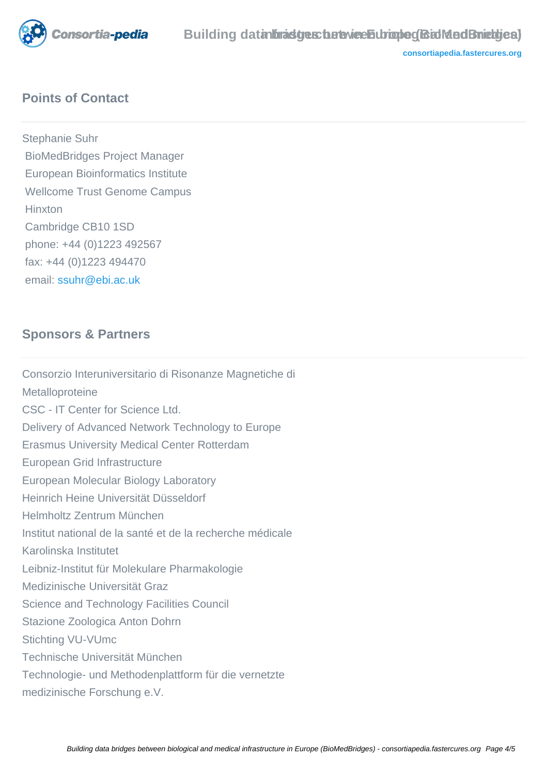

# **Points of Contact**

Stephanie Suhr BioMedBridges Project Manager European Bioinformatics Institute Wellcome Trust Genome Campus **Hinxton**  Cambridge CB10 1SD phone: +44 (0)1223 492567 fax: +44 (0)1223 494470 email: [ssuhr@ebi.ac.uk](mailto:ssuhr@ebi.ac.uk)

# **Sponsors & Partners**

Consorzio Interuniversitario di Risonanze Magnetiche di **Metalloproteine** CSC - IT Center for Science Ltd. Delivery of Advanced Network Technology to Europe Erasmus University Medical Center Rotterdam European Grid Infrastructure European Molecular Biology Laboratory Heinrich Heine Universität Düsseldorf Helmholtz Zentrum München Institut national de la santé et de la recherche médicale Karolinska Institutet Leibniz-Institut für Molekulare Pharmakologie Medizinische Universität Graz Science and Technology Facilities Council Stazione Zoologica Anton Dohrn Stichting VU-VUmc Technische Universität München Technologie- und Methodenplattform für die vernetzte medizinische Forschung e.V.